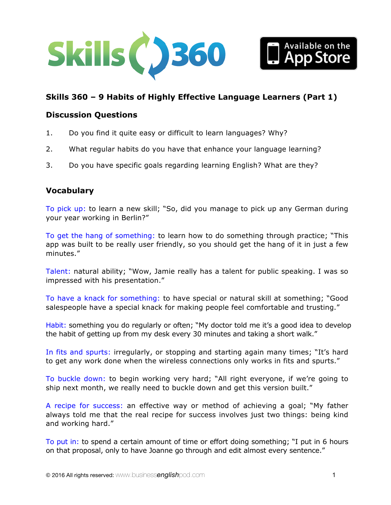



# **Skills 360 – 9 Habits of Highly Effective Language Learners (Part 1)**

### **Discussion Questions**

- 1. Do you find it quite easy or difficult to learn languages? Why?
- 2. What regular habits do you have that enhance your language learning?
- 3. Do you have specific goals regarding learning English? What are they?

### **Vocabulary**

To pick up: to learn a new skill; "So, did you manage to pick up any German during your year working in Berlin?"

To get the hang of something: to learn how to do something through practice; "This app was built to be really user friendly, so you should get the hang of it in just a few minutes."

Talent: natural ability; "Wow, Jamie really has a talent for public speaking. I was so impressed with his presentation."

To have a knack for something: to have special or natural skill at something; "Good salespeople have a special knack for making people feel comfortable and trusting."

Habit: something you do regularly or often; "My doctor told me it's a good idea to develop the habit of getting up from my desk every 30 minutes and taking a short walk."

In fits and spurts: irregularly, or stopping and starting again many times; "It's hard to get any work done when the wireless connections only works in fits and spurts."

To buckle down: to begin working very hard; "All right everyone, if we're going to ship next month, we really need to buckle down and get this version built."

A recipe for success: an effective way or method of achieving a goal; "My father always told me that the real recipe for success involves just two things: being kind and working hard."

To put in: to spend a certain amount of time or effort doing something; "I put in 6 hours on that proposal, only to have Joanne go through and edit almost every sentence."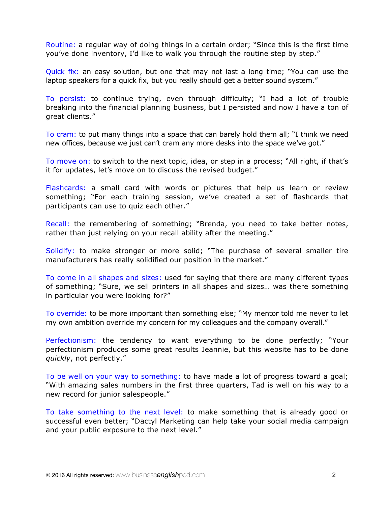Routine: a regular way of doing things in a certain order; "Since this is the first time you've done inventory, I'd like to walk you through the routine step by step."

Quick fix: an easy solution, but one that may not last a long time; "You can use the laptop speakers for a quick fix, but you really should get a better sound system."

To persist: to continue trying, even through difficulty; "I had a lot of trouble breaking into the financial planning business, but I persisted and now I have a ton of great clients."

To cram: to put many things into a space that can barely hold them all; "I think we need new offices, because we just can't cram any more desks into the space we've got."

To move on: to switch to the next topic, idea, or step in a process; "All right, if that's it for updates, let's move on to discuss the revised budget."

Flashcards: a small card with words or pictures that help us learn or review something; "For each training session, we've created a set of flashcards that participants can use to quiz each other."

Recall: the remembering of something; "Brenda, you need to take better notes, rather than just relying on your recall ability after the meeting."

Solidify: to make stronger or more solid; "The purchase of several smaller tire manufacturers has really solidified our position in the market."

To come in all shapes and sizes: used for saying that there are many different types of something; "Sure, we sell printers in all shapes and sizes… was there something in particular you were looking for?"

To override: to be more important than something else; "My mentor told me never to let my own ambition override my concern for my colleagues and the company overall."

Perfectionism: the tendency to want everything to be done perfectly; "Your perfectionism produces some great results Jeannie, but this website has to be done *quickly*, not perfectly."

To be well on your way to something: to have made a lot of progress toward a goal; "With amazing sales numbers in the first three quarters, Tad is well on his way to a new record for junior salespeople."

To take something to the next level: to make something that is already good or successful even better; "Dactyl Marketing can help take your social media campaign and your public exposure to the next level."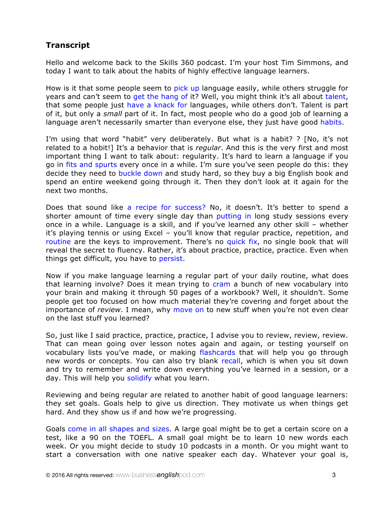# **Transcript**

Hello and welcome back to the Skills 360 podcast. I'm your host Tim Simmons, and today I want to talk about the habits of highly effective language learners.

How is it that some people seem to pick up language easily, while others struggle for years and can't seem to get the hang of it? Well, you might think it's all about talent, that some people just have a knack for languages, while others don't. Talent is part of it, but only a *small* part of it. In fact, most people who do a good job of learning a language aren't necessarily smarter than everyone else, they just have good habits.

I'm using that word "habit" very deliberately. But what is a habit? ? [No, it's not related to a hobit!] It's a behavior that is *regular*. And this is the very first and most important thing I want to talk about: regularity. It's hard to learn a language if you go in fits and spurts every once in a while. I'm sure you've seen people do this: they decide they need to buckle down and study hard, so they buy a big English book and spend an entire weekend going through it. Then they don't look at it again for the next two months.

Does that sound like a recipe for success? No, it doesn't. It's better to spend a shorter amount of time every single day than putting in long study sessions every once in a while. Language is a skill, and if you've learned any other skill – whether it's playing tennis or using Excel – you'll know that regular practice, repetition, and routine are the keys to improvement. There's no quick fix, no single book that will reveal the secret to fluency. Rather, it's about practice, practice, practice. Even when things get difficult, you have to persist.

Now if you make language learning a regular part of your daily routine, what does that learning involve? Does it mean trying to cram a bunch of new vocabulary into your brain and making it through 50 pages of a workbook? Well, it shouldn't. Some people get too focused on how much material they're covering and forget about the importance of *review*. I mean, why move on to new stuff when you're not even clear on the last stuff you learned?

So, just like I said practice, practice, practice, I advise you to review, review, review. That can mean going over lesson notes again and again, or testing yourself on vocabulary lists you've made, or making flashcards that will help you go through new words or concepts. You can also try blank recall, which is when you sit down and try to remember and write down everything you've learned in a session, or a day. This will help you solidify what you learn.

Reviewing and being regular are related to another habit of good language learners: they set goals. Goals help to give us direction. They motivate us when things get hard. And they show us if and how we're progressing.

Goals come in all shapes and sizes. A large goal might be to get a certain score on a test, like a 90 on the TOEFL. A small goal might be to learn 10 new words each week. Or you might decide to study 10 podcasts in a month. Or you might want to start a conversation with one native speaker each day. Whatever your goal is,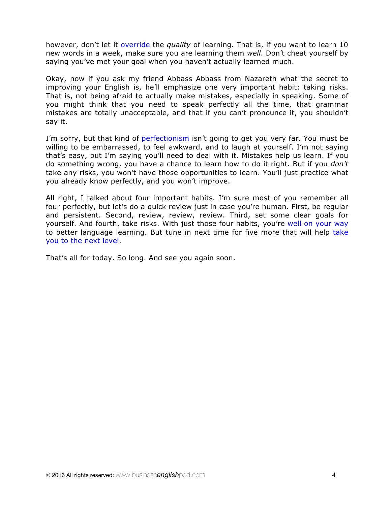however, don't let it override the *quality* of learning. That is, if you want to learn 10 new words in a week, make sure you are learning them *well*. Don't cheat yourself by saying you've met your goal when you haven't actually learned much.

Okay, now if you ask my friend Abbass Abbass from Nazareth what the secret to improving your English is, he'll emphasize one very important habit: taking risks. That is, not being afraid to actually make mistakes, especially in speaking. Some of you might think that you need to speak perfectly all the time, that grammar mistakes are totally unacceptable, and that if you can't pronounce it, you shouldn't say it.

I'm sorry, but that kind of perfectionism isn't going to get you very far. You must be willing to be embarrassed, to feel awkward, and to laugh at yourself. I'm not saying that's easy, but I'm saying you'll need to deal with it. Mistakes help us learn. If you do something wrong, you have a chance to learn how to do it right. But if you *don't* take any risks, you won't have those opportunities to learn. You'll just practice what you already know perfectly, and you won't improve.

All right, I talked about four important habits. I'm sure most of you remember all four perfectly, but let's do a quick review just in case you're human. First, be regular and persistent. Second, review, review, review. Third, set some clear goals for yourself. And fourth, take risks. With just those four habits, you're well on your way to better language learning. But tune in next time for five more that will help take you to the next level.

That's all for today. So long. And see you again soon.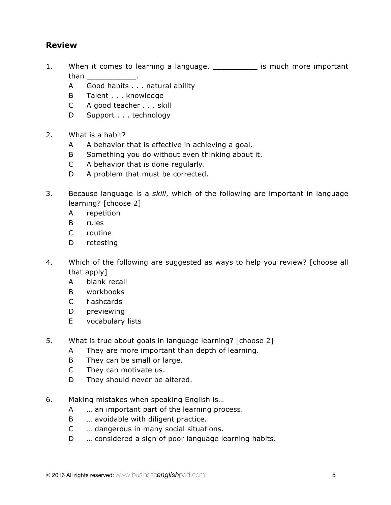# **Review**

- 1. When it comes to learning a language, \_\_\_\_\_\_\_\_\_\_\_ is much more important than **than** 
	- A Good habits . . . natural ability
	- B Talent . . . knowledge
	- C A good teacher . . . skill
	- D Support . . . technology
- 2. What is a habit?
	- A A behavior that is effective in achieving a goal.
	- B Something you do without even thinking about it.
	- C A behavior that is done regularly.
	- D A problem that must be corrected.
- 3. Because language is a *skill*, which of the following are important in language learning? [choose 2]
	- A repetition
	- B rules
	- C routine
	- D retesting
- 4. Which of the following are suggested as ways to help you review? [choose all that apply]
	- A blank recall
	- B workbooks
	- C flashcards
	- D previewing
	- E vocabulary lists
- 5. What is true about goals in language learning? [choose 2]
	- A They are more important than depth of learning.
	- B They can be small or large.
	- C They can motivate us.
	- D They should never be altered.
- 6. Making mistakes when speaking English is…
	- A … an important part of the learning process.
	- B ... avoidable with diligent practice.
	- C … dangerous in many social situations.
	- D … considered a sign of poor language learning habits.